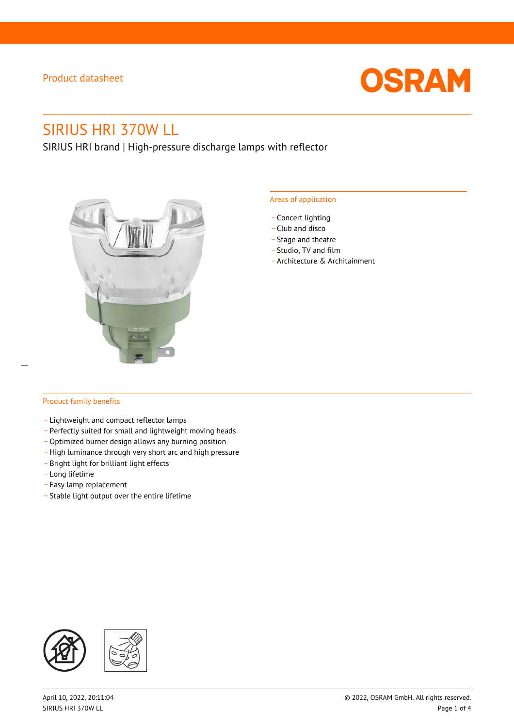

# SIRIUS HRI 370W LL

SIRIUS HRI brand | High-pressure discharge lamps with reflector



#### Areas of application

- Concert lighting
- \_ Club and disco
- Stage and theatre
- \_ Studio, TV and film
- \_ Architecture & Architainment

### Product family benefits

 $\overline{a}$ 

- \_ Lightweight and compact reflector lamps
- \_ Perfectly suited for small and lightweight moving heads
- Optimized burner design allows any burning position
- High luminance through very short arc and high pressure
- \_ Bright light for brilliant light effects
- \_ Long lifetime
- \_ Easy lamp replacement
- \_ Stable light output over the entire lifetime

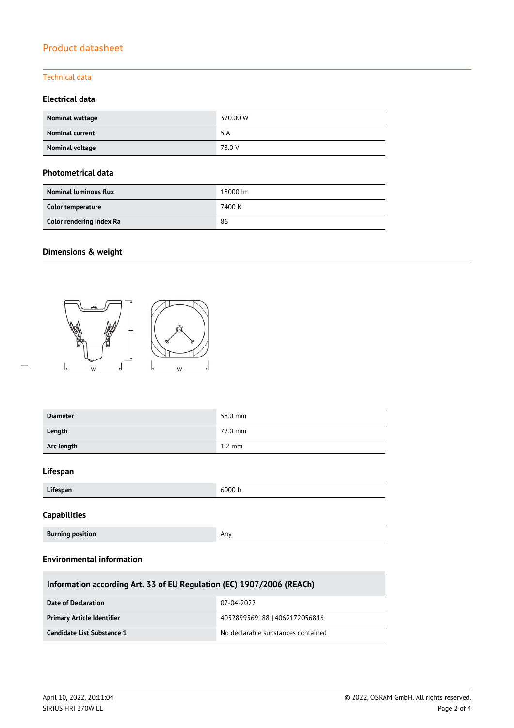#### Technical data

### **Electrical data**

| Nominal wattage        | 370.00 W |
|------------------------|----------|
| <b>Nominal current</b> | 5 A      |
| Nominal voltage        | 73.0 V   |

#### **Photometrical data**

| <b>Nominal luminous flux</b> | 18000 lm |
|------------------------------|----------|
| Color temperature            | 7400 K   |
| Color rendering index Ra     | 86       |

# **Dimensions & weight**



| <b>Diameter</b> | 58.0 mm          |
|-----------------|------------------|
| Length          | 72.0 mm          |
| Arc length      | $1.2 \text{ mm}$ |
|                 |                  |

### **Lifespan**

 $\overline{a}$ 

| Lifespan | 6000 h |
|----------|--------|
|          |        |

### **Capabilities**

**Burning position Any Any Any Any Any Any Any Any Any** 

### **Environmental information**

| Information according Art. 33 of EU Regulation (EC) 1907/2006 (REACh) |                                    |  |  |
|-----------------------------------------------------------------------|------------------------------------|--|--|
| Date of Declaration                                                   | 07-04-2022                         |  |  |
| <b>Primary Article Identifier</b>                                     | 4052899569188   4062172056816      |  |  |
| Candidate List Substance 1                                            | No declarable substances contained |  |  |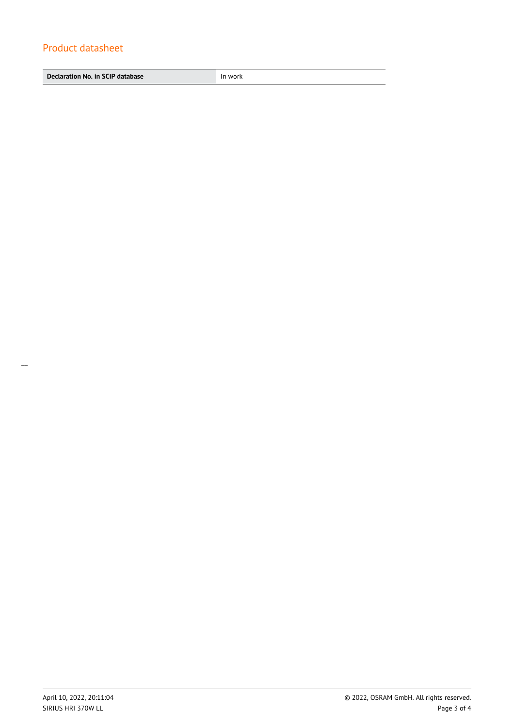**Declaration No. in SCIP database In work**